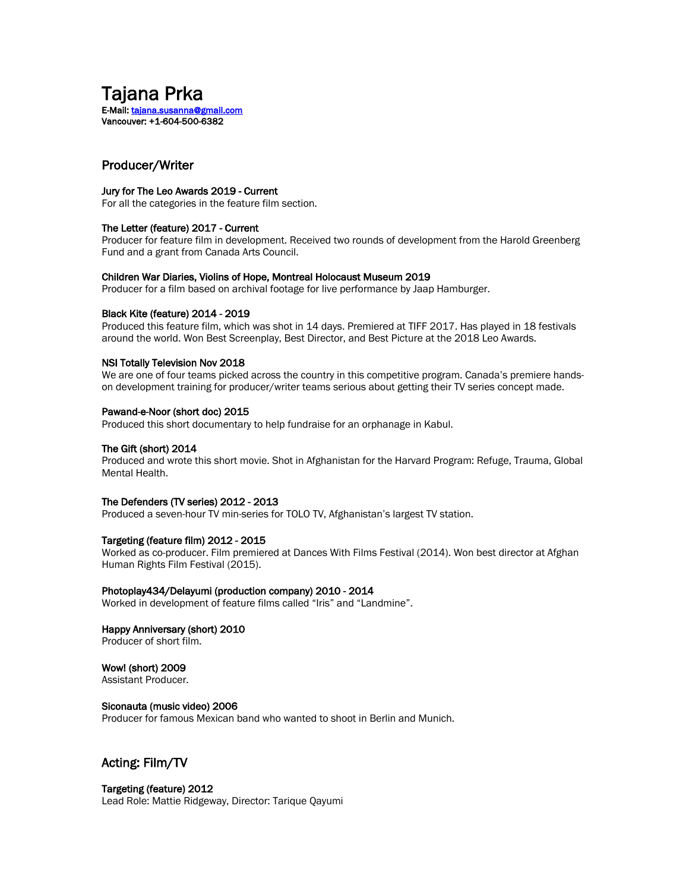# Tajana Prka

E-Mail: tajana.susanna@gmail.com Vancouver: +1-604-500-6382

# Producer/Writer

Jury for The Leo Awards 2019 - Current<br>For all the categories in the feature film section.

The Letter (feature) 2017 - Current<br>Producer for feature film in development. Received two rounds of development from the Harold Greenberg Fund and a grant from Canada Arts Council.

Children War Diaries, Violins of Hope, Montreal Holocaust Museum 2019 Producer for a film based on archival footage for live performance by Jaap Hamburger.

#### Black Kite (feature) 2014 - 2019

Produced this feature film, which was shot in 14 days. Premiered at TIFF 2017. Has played in 18 festivals around the world. Won Best Screenplay, Best Director, and Best Picture at the 2018 Leo Awards.

NSI Totally Television Nov 2018<br>We are one of four teams picked across the country in this competitive program. Canada's premiere handson development training for producer/writer teams serious about getting their TV series concept made.

#### Pawand-e-Noor (short doc) 2015

Produced this short documentary to help fundraise for an orphanage in Kabul.

#### The Gift (short) 2014

Produced and wrote this short movie. Shot in Afghanistan for the Harvard Program: Refuge, Trauma, Global Mental Health.

#### The Defenders (TV series) 2012 - 2013

Produced a seven-hour TV min-series for TOLO TV, Afghanistan's largest TV station.

### Targeting (feature film) 2012 - 2015

Worked as co-producer. Film premiered at Dances With Films Festival (2014). Won best director at Afghan Human Rights Film Festival (2015).

#### Photoplay434/Delayumi (production company) 2010 - 2014

Worked in development of feature films called "Iris" and "Landmine".

### Happy Anniversary (short) 2010

Producer of short film.

### Wow! (short) 2009

Assistant Producer.

#### Siconauta (music video) 2006

Producer for famous Mexican band who wanted to shoot in Berlin and Munich.

# Acting: Film/TV

### Targeting (feature) 2012

Lead Role: Mattie Ridgeway, Director: Tarique Qayumi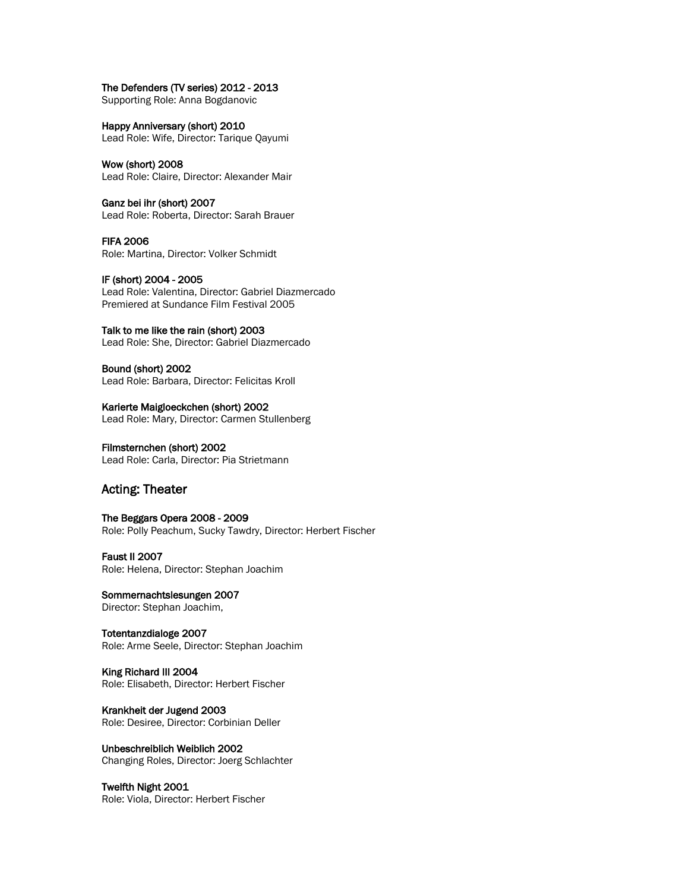#### The Defenders (TV series) 2012 - 2013

Supporting Role: Anna Bogdanovic

Happy Anniversary (short) 2010 Lead Role: Wife, Director: Tarique Qayumi

Wow (short) 2008 Lead Role: Claire, Director: Alexander Mair

Ganz bei ihr (short) 2007 Lead Role: Roberta, Director: Sarah Brauer

FIFA 2006 Role: Martina, Director: Volker Schmidt

IF (short) 2004 - 2005 Lead Role: Valentina, Director: Gabriel Diazmercado Premiered at Sundance Film Festival 2005

Talk to me like the rain (short) 2003 Lead Role: She, Director: Gabriel Diazmercado

Bound (short) 2002 Lead Role: Barbara, Director: Felicitas Kroll

Karierte Maigloeckchen (short) 2002 Lead Role: Mary, Director: Carmen Stullenberg

Filmsternchen (short) 2002 Lead Role: Carla, Director: Pia Strietmann

## Acting: Theater

The Beggars Opera 2008 - 2009 Role: Polly Peachum, Sucky Tawdry, Director: Herbert Fischer

Faust II 2007 Role: Helena, Director: Stephan Joachim

Sommernachtslesungen 2007 Director: Stephan Joachim,

Totentanzdialoge 2007 Role: Arme Seele, Director: Stephan Joachim

King Richard III 2004 Role: Elisabeth, Director: Herbert Fischer

Krankheit der Jugend 2003 Role: Desiree, Director: Corbinian Deller

Unbeschreiblich Weiblich 2002 Changing Roles, Director: Joerg Schlachter

Twelfth Night 2001 Role: Viola, Director: Herbert Fischer